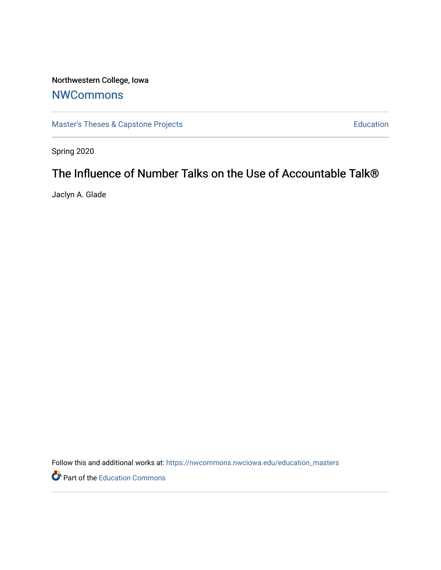# Northwestern College, Iowa

# **[NWCommons](https://nwcommons.nwciowa.edu/)**

[Master's Theses & Capstone Projects](https://nwcommons.nwciowa.edu/education_masters) **Education** Education

Spring 2020

# The Influence of Number Talks on the Use of Accountable Talk®

Jaclyn A. Glade

Follow this and additional works at: [https://nwcommons.nwciowa.edu/education\\_masters](https://nwcommons.nwciowa.edu/education_masters?utm_source=nwcommons.nwciowa.edu%2Feducation_masters%2F207&utm_medium=PDF&utm_campaign=PDFCoverPages)

Part of the [Education Commons](http://network.bepress.com/hgg/discipline/784?utm_source=nwcommons.nwciowa.edu%2Feducation_masters%2F207&utm_medium=PDF&utm_campaign=PDFCoverPages)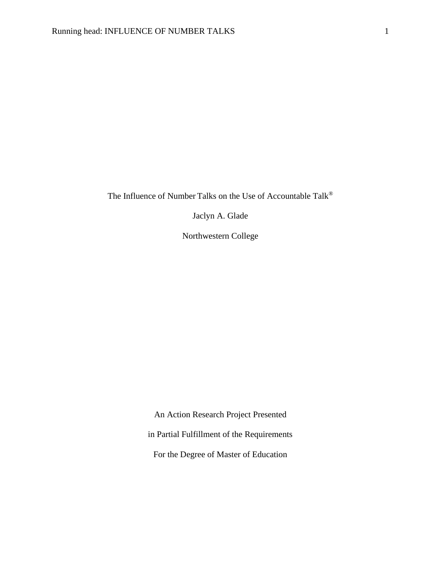The Influence of Number Talks on the Use of Accountable Talk®

Jaclyn A. Glade

Northwestern College

An Action Research Project Presented in Partial Fulfillment of the Requirements For the Degree of Master of Education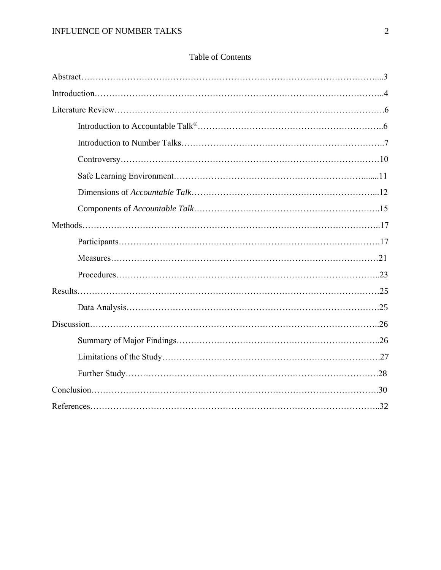| <b>Table of Contents</b> |  |
|--------------------------|--|
|--------------------------|--|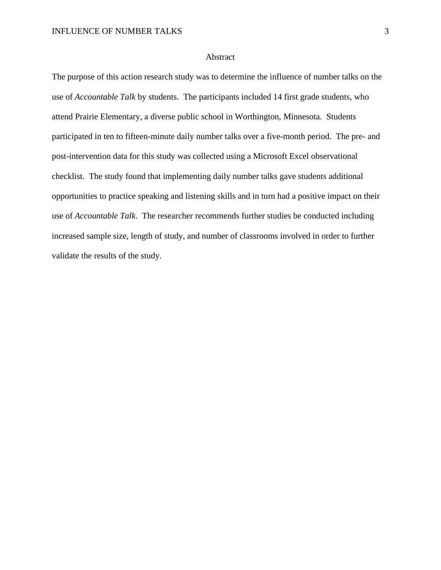## Abstract

The purpose of this action research study was to determine the influence of number talks on the use of *Accountable Talk* by students. The participants included 14 first grade students, who attend Prairie Elementary, a diverse public school in Worthington, Minnesota. Students participated in ten to fifteen-minute daily number talks over a five-month period. The pre- and post-intervention data for this study was collected using a Microsoft Excel observational checklist. The study found that implementing daily number talks gave students additional opportunities to practice speaking and listening skills and in turn had a positive impact on their use of *Accountable Talk*. The researcher recommends further studies be conducted including increased sample size, length of study, and number of classrooms involved in order to further validate the results of the study.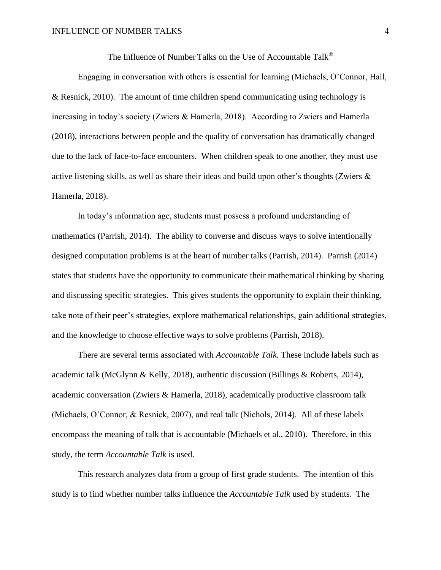The Influence of Number Talks on the Use of Accountable Talk®

Engaging in conversation with others is essential for learning (Michaels, O'Connor, Hall, & Resnick, 2010). The amount of time children spend communicating using technology is increasing in today's society (Zwiers & Hamerla, 2018). According to Zwiers and Hamerla (2018), interactions between people and the quality of conversation has dramatically changed due to the lack of face-to-face encounters. When children speak to one another, they must use active listening skills, as well as share their ideas and build upon other's thoughts (Zwiers  $\&$ Hamerla, 2018).

In today's information age, students must possess a profound understanding of mathematics (Parrish, 2014). The ability to converse and discuss ways to solve intentionally designed computation problems is at the heart of number talks (Parrish, 2014). Parrish (2014) states that students have the opportunity to communicate their mathematical thinking by sharing and discussing specific strategies. This gives students the opportunity to explain their thinking, take note of their peer's strategies, explore mathematical relationships, gain additional strategies, and the knowledge to choose effective ways to solve problems (Parrish, 2018).

There are several terms associated with *Accountable Talk.* These include labels such as academic talk (McGlynn & Kelly, 2018), authentic discussion (Billings & Roberts, 2014), academic conversation (Zwiers & Hamerla, 2018), academically productive classroom talk (Michaels, O'Connor, & Resnick, 2007), and real talk (Nichols, 2014). All of these labels encompass the meaning of talk that is accountable (Michaels et al., 2010). Therefore, in this study, the term *Accountable Talk* is used.

This research analyzes data from a group of first grade students. The intention of this study is to find whether number talks influence the *Accountable Talk* used by students. The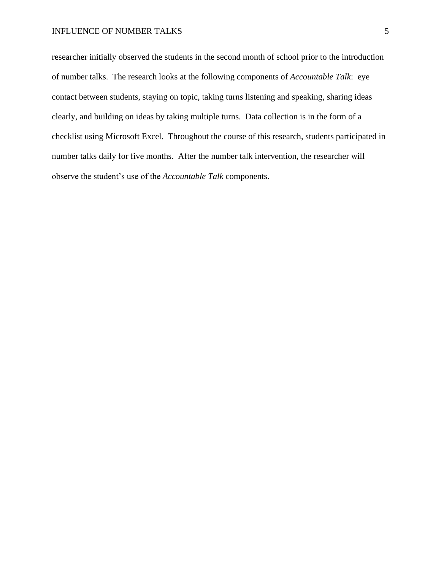## INFLUENCE OF NUMBER TALKS 5

researcher initially observed the students in the second month of school prior to the introduction of number talks. The research looks at the following components of *Accountable Talk*: eye contact between students, staying on topic, taking turns listening and speaking, sharing ideas clearly, and building on ideas by taking multiple turns. Data collection is in the form of a checklist using Microsoft Excel. Throughout the course of this research, students participated in number talks daily for five months. After the number talk intervention, the researcher will observe the student's use of the *Accountable Talk* components.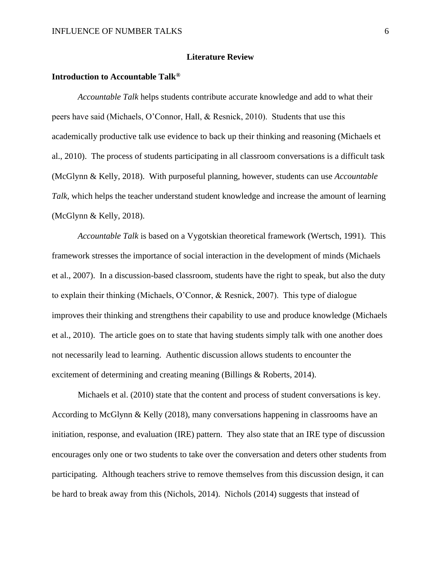## **Literature Review**

# **Introduction to Accountable Talk®**

*Accountable Talk* helps students contribute accurate knowledge and add to what their peers have said (Michaels, O'Connor, Hall, & Resnick, 2010). Students that use this academically productive talk use evidence to back up their thinking and reasoning (Michaels et al., 2010). The process of students participating in all classroom conversations is a difficult task (McGlynn & Kelly, 2018). With purposeful planning, however, students can use *Accountable Talk,* which helps the teacher understand student knowledge and increase the amount of learning (McGlynn & Kelly, 2018).

*Accountable Talk* is based on a Vygotskian theoretical framework (Wertsch, 1991). This framework stresses the importance of social interaction in the development of minds (Michaels et al., 2007). In a discussion-based classroom, students have the right to speak, but also the duty to explain their thinking (Michaels, O'Connor, & Resnick, 2007). This type of dialogue improves their thinking and strengthens their capability to use and produce knowledge (Michaels et al., 2010). The article goes on to state that having students simply talk with one another does not necessarily lead to learning. Authentic discussion allows students to encounter the excitement of determining and creating meaning (Billings & Roberts, 2014).

Michaels et al. (2010) state that the content and process of student conversations is key. According to McGlynn & Kelly (2018), many conversations happening in classrooms have an initiation, response, and evaluation (IRE) pattern. They also state that an IRE type of discussion encourages only one or two students to take over the conversation and deters other students from participating. Although teachers strive to remove themselves from this discussion design, it can be hard to break away from this (Nichols, 2014). Nichols (2014) suggests that instead of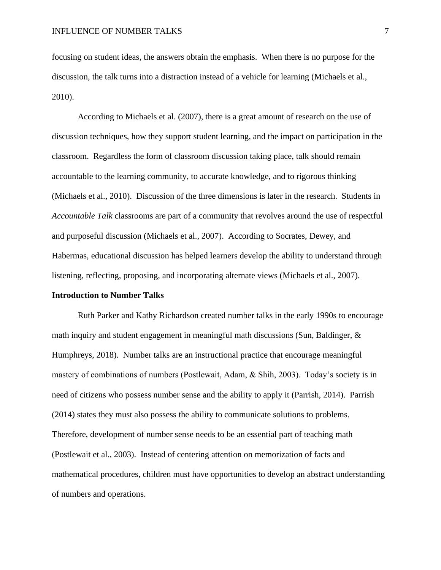focusing on student ideas, the answers obtain the emphasis. When there is no purpose for the discussion, the talk turns into a distraction instead of a vehicle for learning (Michaels et al., 2010).

According to Michaels et al. (2007), there is a great amount of research on the use of discussion techniques, how they support student learning, and the impact on participation in the classroom. Regardless the form of classroom discussion taking place, talk should remain accountable to the learning community, to accurate knowledge, and to rigorous thinking (Michaels et al., 2010). Discussion of the three dimensions is later in the research. Students in *Accountable Talk* classrooms are part of a community that revolves around the use of respectful and purposeful discussion (Michaels et al., 2007). According to Socrates, Dewey, and Habermas, educational discussion has helped learners develop the ability to understand through listening, reflecting, proposing, and incorporating alternate views (Michaels et al., 2007).

#### **Introduction to Number Talks**

Ruth Parker and Kathy Richardson created number talks in the early 1990s to encourage math inquiry and student engagement in meaningful math discussions (Sun, Baldinger, & Humphreys, 2018). Number talks are an instructional practice that encourage meaningful mastery of combinations of numbers (Postlewait, Adam, & Shih, 2003). Today's society is in need of citizens who possess number sense and the ability to apply it (Parrish, 2014). Parrish (2014) states they must also possess the ability to communicate solutions to problems. Therefore, development of number sense needs to be an essential part of teaching math (Postlewait et al., 2003). Instead of centering attention on memorization of facts and mathematical procedures, children must have opportunities to develop an abstract understanding of numbers and operations.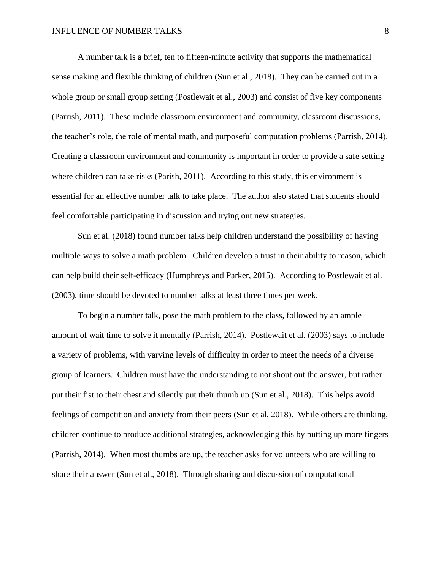A number talk is a brief, ten to fifteen-minute activity that supports the mathematical sense making and flexible thinking of children (Sun et al., 2018). They can be carried out in a whole group or small group setting (Postlewait et al., 2003) and consist of five key components (Parrish, 2011). These include classroom environment and community, classroom discussions, the teacher's role, the role of mental math, and purposeful computation problems (Parrish, 2014). Creating a classroom environment and community is important in order to provide a safe setting where children can take risks (Parish, 2011). According to this study, this environment is essential for an effective number talk to take place. The author also stated that students should feel comfortable participating in discussion and trying out new strategies.

Sun et al. (2018) found number talks help children understand the possibility of having multiple ways to solve a math problem. Children develop a trust in their ability to reason, which can help build their self-efficacy (Humphreys and Parker, 2015). According to Postlewait et al. (2003), time should be devoted to number talks at least three times per week.

To begin a number talk, pose the math problem to the class, followed by an ample amount of wait time to solve it mentally (Parrish, 2014). Postlewait et al. (2003) says to include a variety of problems, with varying levels of difficulty in order to meet the needs of a diverse group of learners. Children must have the understanding to not shout out the answer, but rather put their fist to their chest and silently put their thumb up (Sun et al., 2018). This helps avoid feelings of competition and anxiety from their peers (Sun et al, 2018). While others are thinking, children continue to produce additional strategies, acknowledging this by putting up more fingers (Parrish, 2014). When most thumbs are up, the teacher asks for volunteers who are willing to share their answer (Sun et al., 2018). Through sharing and discussion of computational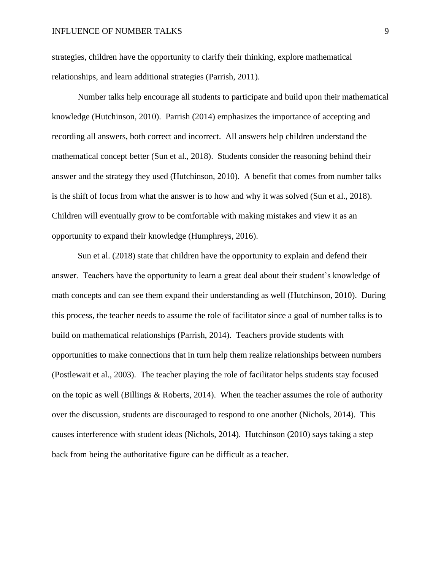strategies, children have the opportunity to clarify their thinking, explore mathematical relationships, and learn additional strategies (Parrish, 2011).

Number talks help encourage all students to participate and build upon their mathematical knowledge (Hutchinson, 2010). Parrish (2014) emphasizes the importance of accepting and recording all answers, both correct and incorrect. All answers help children understand the mathematical concept better (Sun et al., 2018). Students consider the reasoning behind their answer and the strategy they used (Hutchinson, 2010). A benefit that comes from number talks is the shift of focus from what the answer is to how and why it was solved (Sun et al., 2018). Children will eventually grow to be comfortable with making mistakes and view it as an opportunity to expand their knowledge (Humphreys, 2016).

Sun et al. (2018) state that children have the opportunity to explain and defend their answer. Teachers have the opportunity to learn a great deal about their student's knowledge of math concepts and can see them expand their understanding as well (Hutchinson, 2010). During this process, the teacher needs to assume the role of facilitator since a goal of number talks is to build on mathematical relationships (Parrish, 2014). Teachers provide students with opportunities to make connections that in turn help them realize relationships between numbers (Postlewait et al., 2003). The teacher playing the role of facilitator helps students stay focused on the topic as well (Billings  $\&$  Roberts, 2014). When the teacher assumes the role of authority over the discussion, students are discouraged to respond to one another (Nichols, 2014). This causes interference with student ideas (Nichols, 2014). Hutchinson (2010) says taking a step back from being the authoritative figure can be difficult as a teacher.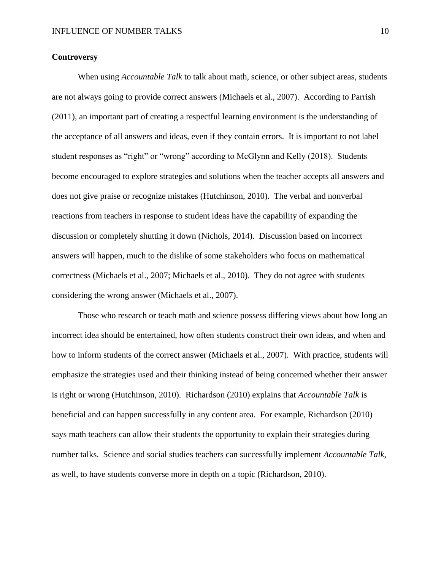# **Controversy**

When using *Accountable Talk* to talk about math, science, or other subject areas, students are not always going to provide correct answers (Michaels et al., 2007). According to Parrish (2011), an important part of creating a respectful learning environment is the understanding of the acceptance of all answers and ideas, even if they contain errors. It is important to not label student responses as "right" or "wrong" according to McGlynn and Kelly (2018). Students become encouraged to explore strategies and solutions when the teacher accepts all answers and does not give praise or recognize mistakes (Hutchinson, 2010). The verbal and nonverbal reactions from teachers in response to student ideas have the capability of expanding the discussion or completely shutting it down (Nichols, 2014). Discussion based on incorrect answers will happen, much to the dislike of some stakeholders who focus on mathematical correctness (Michaels et al., 2007; Michaels et al., 2010). They do not agree with students considering the wrong answer (Michaels et al., 2007).

Those who research or teach math and science possess differing views about how long an incorrect idea should be entertained, how often students construct their own ideas, and when and how to inform students of the correct answer (Michaels et al., 2007). With practice, students will emphasize the strategies used and their thinking instead of being concerned whether their answer is right or wrong (Hutchinson, 2010). Richardson (2010) explains that *Accountable Talk* is beneficial and can happen successfully in any content area. For example, Richardson (2010) says math teachers can allow their students the opportunity to explain their strategies during number talks. Science and social studies teachers can successfully implement *Accountable Talk*, as well, to have students converse more in depth on a topic (Richardson, 2010).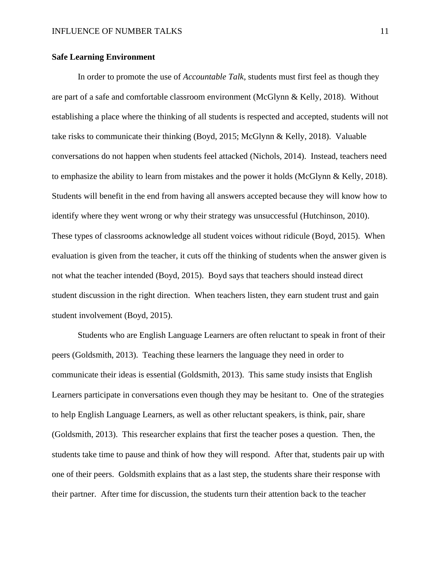# **Safe Learning Environment**

In order to promote the use of *Accountable Talk*, students must first feel as though they are part of a safe and comfortable classroom environment (McGlynn & Kelly, 2018). Without establishing a place where the thinking of all students is respected and accepted, students will not take risks to communicate their thinking (Boyd, 2015; McGlynn & Kelly, 2018). Valuable conversations do not happen when students feel attacked (Nichols, 2014). Instead, teachers need to emphasize the ability to learn from mistakes and the power it holds (McGlynn & Kelly, 2018). Students will benefit in the end from having all answers accepted because they will know how to identify where they went wrong or why their strategy was unsuccessful (Hutchinson, 2010). These types of classrooms acknowledge all student voices without ridicule (Boyd, 2015). When evaluation is given from the teacher, it cuts off the thinking of students when the answer given is not what the teacher intended (Boyd, 2015). Boyd says that teachers should instead direct student discussion in the right direction. When teachers listen, they earn student trust and gain student involvement (Boyd, 2015).

Students who are English Language Learners are often reluctant to speak in front of their peers (Goldsmith, 2013). Teaching these learners the language they need in order to communicate their ideas is essential (Goldsmith, 2013). This same study insists that English Learners participate in conversations even though they may be hesitant to. One of the strategies to help English Language Learners, as well as other reluctant speakers, is think, pair, share (Goldsmith, 2013). This researcher explains that first the teacher poses a question. Then, the students take time to pause and think of how they will respond. After that, students pair up with one of their peers. Goldsmith explains that as a last step, the students share their response with their partner. After time for discussion, the students turn their attention back to the teacher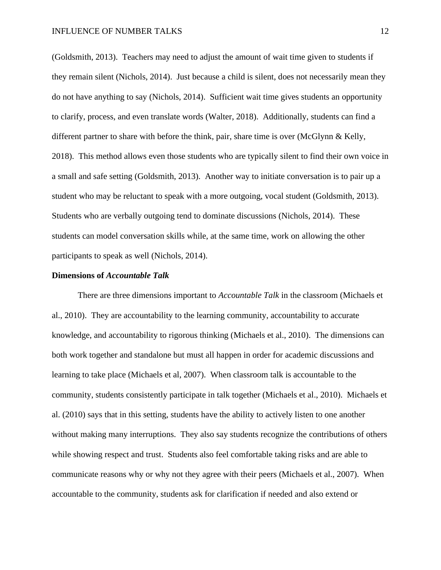(Goldsmith, 2013). Teachers may need to adjust the amount of wait time given to students if they remain silent (Nichols, 2014). Just because a child is silent, does not necessarily mean they do not have anything to say (Nichols, 2014). Sufficient wait time gives students an opportunity to clarify, process, and even translate words (Walter, 2018). Additionally, students can find a different partner to share with before the think, pair, share time is over (McGlynn & Kelly, 2018). This method allows even those students who are typically silent to find their own voice in a small and safe setting (Goldsmith, 2013). Another way to initiate conversation is to pair up a student who may be reluctant to speak with a more outgoing, vocal student (Goldsmith, 2013). Students who are verbally outgoing tend to dominate discussions (Nichols, 2014). These students can model conversation skills while, at the same time, work on allowing the other participants to speak as well (Nichols, 2014).

### **Dimensions of** *Accountable Talk*

There are three dimensions important to *Accountable Talk* in the classroom (Michaels et al., 2010). They are accountability to the learning community, accountability to accurate knowledge, and accountability to rigorous thinking (Michaels et al., 2010). The dimensions can both work together and standalone but must all happen in order for academic discussions and learning to take place (Michaels et al, 2007). When classroom talk is accountable to the community, students consistently participate in talk together (Michaels et al., 2010). Michaels et al. (2010) says that in this setting, students have the ability to actively listen to one another without making many interruptions. They also say students recognize the contributions of others while showing respect and trust. Students also feel comfortable taking risks and are able to communicate reasons why or why not they agree with their peers (Michaels et al., 2007). When accountable to the community, students ask for clarification if needed and also extend or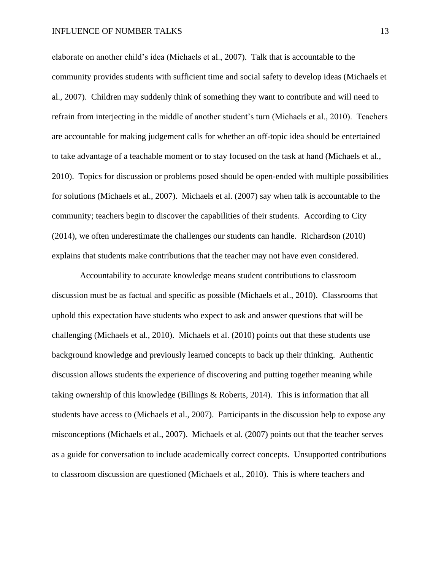elaborate on another child's idea (Michaels et al., 2007). Talk that is accountable to the community provides students with sufficient time and social safety to develop ideas (Michaels et al., 2007). Children may suddenly think of something they want to contribute and will need to refrain from interjecting in the middle of another student's turn (Michaels et al., 2010). Teachers are accountable for making judgement calls for whether an off-topic idea should be entertained to take advantage of a teachable moment or to stay focused on the task at hand (Michaels et al., 2010). Topics for discussion or problems posed should be open-ended with multiple possibilities for solutions (Michaels et al., 2007). Michaels et al. (2007) say when talk is accountable to the community; teachers begin to discover the capabilities of their students. According to City (2014), we often underestimate the challenges our students can handle. Richardson (2010) explains that students make contributions that the teacher may not have even considered.

Accountability to accurate knowledge means student contributions to classroom discussion must be as factual and specific as possible (Michaels et al., 2010). Classrooms that uphold this expectation have students who expect to ask and answer questions that will be challenging (Michaels et al., 2010). Michaels et al. (2010) points out that these students use background knowledge and previously learned concepts to back up their thinking. Authentic discussion allows students the experience of discovering and putting together meaning while taking ownership of this knowledge (Billings & Roberts, 2014). This is information that all students have access to (Michaels et al., 2007). Participants in the discussion help to expose any misconceptions (Michaels et al., 2007). Michaels et al. (2007) points out that the teacher serves as a guide for conversation to include academically correct concepts. Unsupported contributions to classroom discussion are questioned (Michaels et al., 2010). This is where teachers and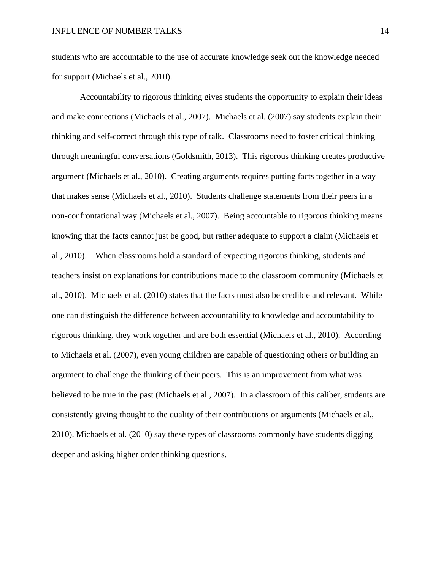students who are accountable to the use of accurate knowledge seek out the knowledge needed for support (Michaels et al., 2010).

Accountability to rigorous thinking gives students the opportunity to explain their ideas and make connections (Michaels et al., 2007). Michaels et al. (2007) say students explain their thinking and self-correct through this type of talk. Classrooms need to foster critical thinking through meaningful conversations (Goldsmith, 2013). This rigorous thinking creates productive argument (Michaels et al., 2010). Creating arguments requires putting facts together in a way that makes sense (Michaels et al., 2010). Students challenge statements from their peers in a non-confrontational way (Michaels et al., 2007). Being accountable to rigorous thinking means knowing that the facts cannot just be good, but rather adequate to support a claim (Michaels et al., 2010). When classrooms hold a standard of expecting rigorous thinking, students and teachers insist on explanations for contributions made to the classroom community (Michaels et al., 2010). Michaels et al. (2010) states that the facts must also be credible and relevant. While one can distinguish the difference between accountability to knowledge and accountability to rigorous thinking, they work together and are both essential (Michaels et al., 2010). According to Michaels et al. (2007), even young children are capable of questioning others or building an argument to challenge the thinking of their peers. This is an improvement from what was believed to be true in the past (Michaels et al., 2007). In a classroom of this caliber, students are consistently giving thought to the quality of their contributions or arguments (Michaels et al., 2010). Michaels et al. (2010) say these types of classrooms commonly have students digging deeper and asking higher order thinking questions.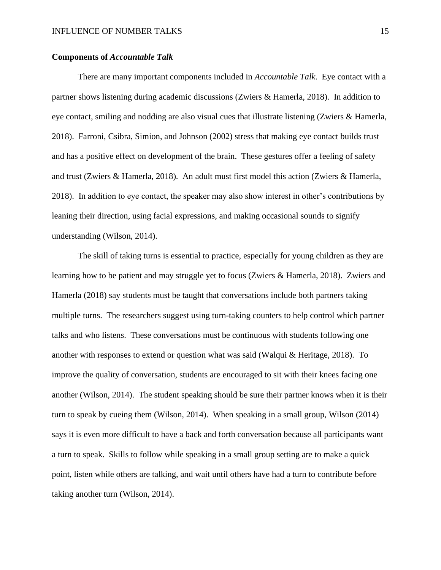# **Components of** *Accountable Talk*

There are many important components included in *Accountable Talk*. Eye contact with a partner shows listening during academic discussions (Zwiers & Hamerla, 2018). In addition to eye contact, smiling and nodding are also visual cues that illustrate listening (Zwiers & Hamerla, 2018). Farroni, Csibra, Simion, and Johnson (2002) stress that making eye contact builds trust and has a positive effect on development of the brain. These gestures offer a feeling of safety and trust (Zwiers & Hamerla, 2018). An adult must first model this action (Zwiers & Hamerla, 2018). In addition to eye contact, the speaker may also show interest in other's contributions by leaning their direction, using facial expressions, and making occasional sounds to signify understanding (Wilson, 2014).

The skill of taking turns is essential to practice, especially for young children as they are learning how to be patient and may struggle yet to focus (Zwiers & Hamerla, 2018). Zwiers and Hamerla (2018) say students must be taught that conversations include both partners taking multiple turns. The researchers suggest using turn-taking counters to help control which partner talks and who listens. These conversations must be continuous with students following one another with responses to extend or question what was said (Walqui & Heritage, 2018). To improve the quality of conversation, students are encouraged to sit with their knees facing one another (Wilson, 2014). The student speaking should be sure their partner knows when it is their turn to speak by cueing them (Wilson, 2014). When speaking in a small group, Wilson (2014) says it is even more difficult to have a back and forth conversation because all participants want a turn to speak. Skills to follow while speaking in a small group setting are to make a quick point, listen while others are talking, and wait until others have had a turn to contribute before taking another turn (Wilson, 2014).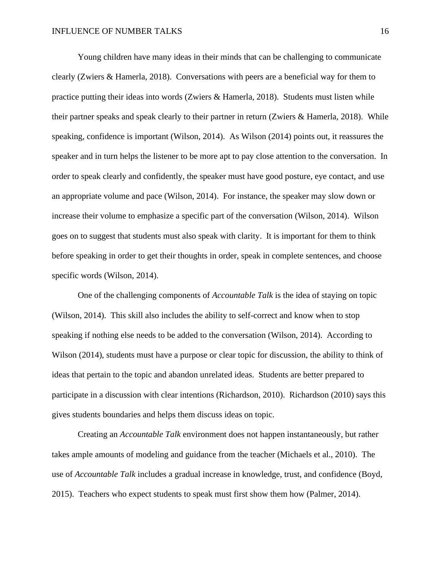Young children have many ideas in their minds that can be challenging to communicate clearly (Zwiers & Hamerla, 2018). Conversations with peers are a beneficial way for them to practice putting their ideas into words (Zwiers & Hamerla, 2018). Students must listen while their partner speaks and speak clearly to their partner in return (Zwiers & Hamerla, 2018). While speaking, confidence is important (Wilson, 2014). As Wilson (2014) points out, it reassures the speaker and in turn helps the listener to be more apt to pay close attention to the conversation. In order to speak clearly and confidently, the speaker must have good posture, eye contact, and use an appropriate volume and pace (Wilson, 2014). For instance, the speaker may slow down or increase their volume to emphasize a specific part of the conversation (Wilson, 2014). Wilson goes on to suggest that students must also speak with clarity. It is important for them to think before speaking in order to get their thoughts in order, speak in complete sentences, and choose specific words (Wilson, 2014).

One of the challenging components of *Accountable Talk* is the idea of staying on topic (Wilson, 2014). This skill also includes the ability to self-correct and know when to stop speaking if nothing else needs to be added to the conversation (Wilson, 2014). According to Wilson (2014), students must have a purpose or clear topic for discussion, the ability to think of ideas that pertain to the topic and abandon unrelated ideas. Students are better prepared to participate in a discussion with clear intentions (Richardson, 2010). Richardson (2010) says this gives students boundaries and helps them discuss ideas on topic.

Creating an *Accountable Talk* environment does not happen instantaneously, but rather takes ample amounts of modeling and guidance from the teacher (Michaels et al., 2010). The use of *Accountable Talk* includes a gradual increase in knowledge, trust, and confidence (Boyd, 2015). Teachers who expect students to speak must first show them how (Palmer, 2014).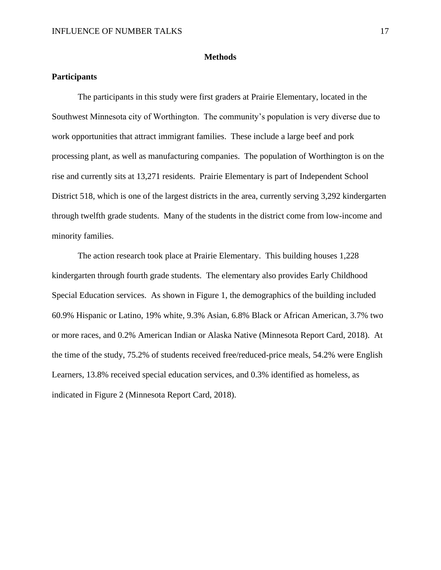## **Methods**

# **Participants**

The participants in this study were first graders at Prairie Elementary, located in the Southwest Minnesota city of Worthington. The community's population is very diverse due to work opportunities that attract immigrant families. These include a large beef and pork processing plant, as well as manufacturing companies. The population of Worthington is on the rise and currently sits at 13,271 residents. Prairie Elementary is part of Independent School District 518, which is one of the largest districts in the area, currently serving 3,292 kindergarten through twelfth grade students. Many of the students in the district come from low-income and minority families.

The action research took place at Prairie Elementary. This building houses 1,228 kindergarten through fourth grade students. The elementary also provides Early Childhood Special Education services. As shown in Figure 1, the demographics of the building included 60.9% Hispanic or Latino, 19% white, 9.3% Asian, 6.8% Black or African American, 3.7% two or more races, and 0.2% American Indian or Alaska Native (Minnesota Report Card, 2018). At the time of the study, 75.2% of students received free/reduced-price meals, 54.2% were English Learners, 13.8% received special education services, and 0.3% identified as homeless, as indicated in Figure 2 (Minnesota Report Card, 2018).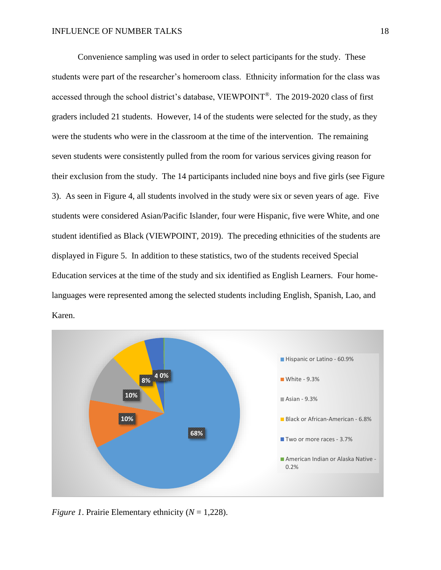Convenience sampling was used in order to select participants for the study. These students were part of the researcher's homeroom class. Ethnicity information for the class was accessed through the school district's database, VIEWPOINT®. The 2019-2020 class of first graders included 21 students. However, 14 of the students were selected for the study, as they were the students who were in the classroom at the time of the intervention. The remaining seven students were consistently pulled from the room for various services giving reason for their exclusion from the study. The 14 participants included nine boys and five girls (see Figure 3). As seen in Figure 4, all students involved in the study were six or seven years of age. Five students were considered Asian/Pacific Islander, four were Hispanic, five were White, and one student identified as Black (VIEWPOINT, 2019). The preceding ethnicities of the students are displayed in Figure 5. In addition to these statistics, two of the students received Special Education services at the time of the study and six identified as English Learners. Four homelanguages were represented among the selected students including English, Spanish, Lao, and Karen.



*Figure 1*. Prairie Elementary ethnicity (*N* = 1,228).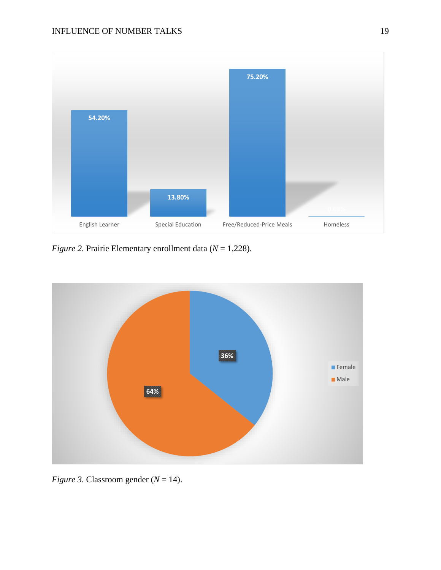

*Figure 2.* Prairie Elementary enrollment data (*N* = 1,228).



*Figure 3.* Classroom gender  $(N = 14)$ .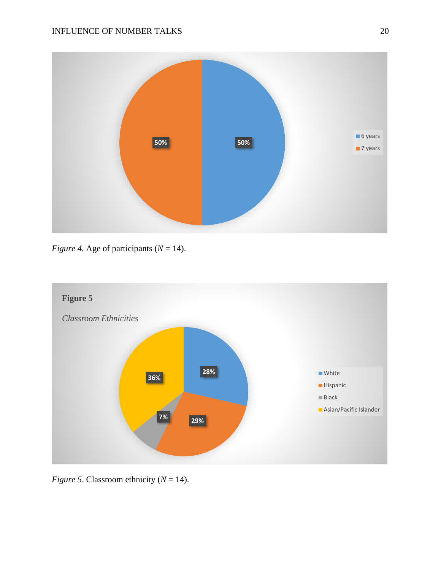

*Figure 4.* Age of participants ( $N = 14$ ).



*Figure 5*. Classroom ethnicity ( $N = 14$ ).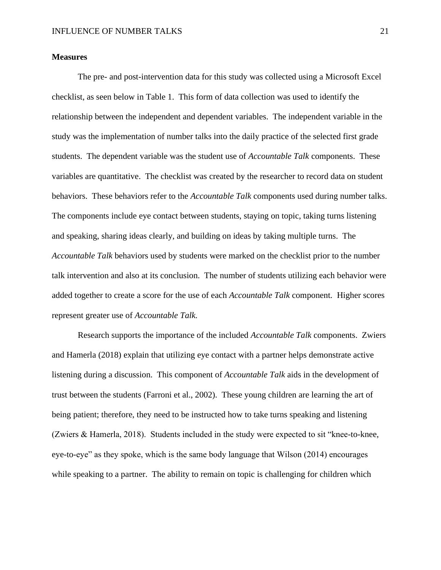# **Measures**

The pre- and post-intervention data for this study was collected using a Microsoft Excel checklist, as seen below in Table 1. This form of data collection was used to identify the relationship between the independent and dependent variables. The independent variable in the study was the implementation of number talks into the daily practice of the selected first grade students. The dependent variable was the student use of *Accountable Talk* components. These variables are quantitative. The checklist was created by the researcher to record data on student behaviors. These behaviors refer to the *Accountable Talk* components used during number talks. The components include eye contact between students, staying on topic, taking turns listening and speaking, sharing ideas clearly, and building on ideas by taking multiple turns. The *Accountable Talk* behaviors used by students were marked on the checklist prior to the number talk intervention and also at its conclusion. The number of students utilizing each behavior were added together to create a score for the use of each *Accountable Talk* component*.* Higher scores represent greater use of *Accountable Talk.* 

Research supports the importance of the included *Accountable Talk* components. Zwiers and Hamerla (2018) explain that utilizing eye contact with a partner helps demonstrate active listening during a discussion. This component of *Accountable Talk* aids in the development of trust between the students (Farroni et al., 2002). These young children are learning the art of being patient; therefore, they need to be instructed how to take turns speaking and listening (Zwiers & Hamerla, 2018). Students included in the study were expected to sit "knee-to-knee, eye-to-eye" as they spoke, which is the same body language that Wilson (2014) encourages while speaking to a partner. The ability to remain on topic is challenging for children which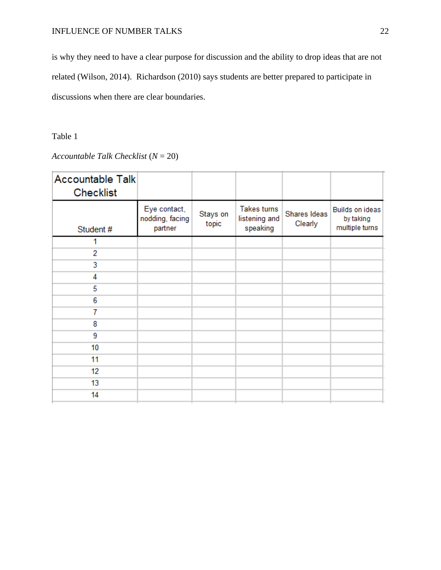is why they need to have a clear purpose for discussion and the ability to drop ideas that are not related (Wilson, 2014). Richardson (2010) says students are better prepared to participate in discussions when there are clear boundaries.

# Table 1

# *Accountable Talk Checklist* (*N* = 20)

| <b>Accountable Talk</b><br><b>Checklist</b> |                                            |                   |                                          |                         |                                                |
|---------------------------------------------|--------------------------------------------|-------------------|------------------------------------------|-------------------------|------------------------------------------------|
| Student #                                   | Eye contact,<br>nodding, facing<br>partner | Stays on<br>topic | Takes turns<br>listening and<br>speaking | Shares Ideas<br>Clearly | Builds on ideas<br>by taking<br>multiple turns |
| 1                                           |                                            |                   |                                          |                         |                                                |
| 2                                           |                                            |                   |                                          |                         |                                                |
| 3                                           |                                            |                   |                                          |                         |                                                |
| 4                                           |                                            |                   |                                          |                         |                                                |
| 5                                           |                                            |                   |                                          |                         |                                                |
| 6                                           |                                            |                   |                                          |                         |                                                |
| 7                                           |                                            |                   |                                          |                         |                                                |
| 8                                           |                                            |                   |                                          |                         |                                                |
| 9                                           |                                            |                   |                                          |                         |                                                |
| 10                                          |                                            |                   |                                          |                         |                                                |
| 11                                          |                                            |                   |                                          |                         |                                                |
| 12                                          |                                            |                   |                                          |                         |                                                |
| 13                                          |                                            |                   |                                          |                         |                                                |
| 14                                          |                                            |                   |                                          |                         |                                                |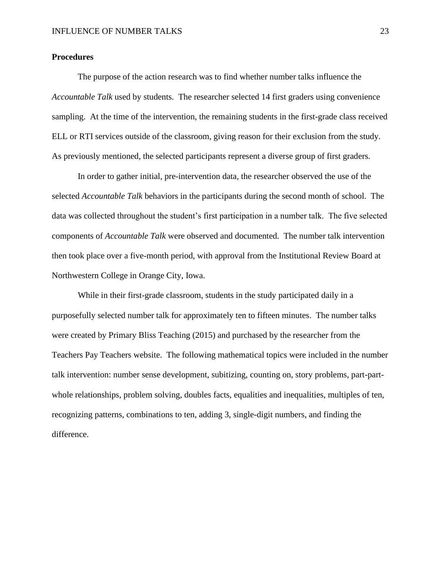## **Procedures**

The purpose of the action research was to find whether number talks influence the *Accountable Talk* used by students. The researcher selected 14 first graders using convenience sampling. At the time of the intervention, the remaining students in the first-grade class received ELL or RTI services outside of the classroom, giving reason for their exclusion from the study. As previously mentioned, the selected participants represent a diverse group of first graders.

In order to gather initial, pre-intervention data, the researcher observed the use of the selected *Accountable Talk* behaviors in the participants during the second month of school. The data was collected throughout the student's first participation in a number talk. The five selected components of *Accountable Talk* were observed and documented. The number talk intervention then took place over a five-month period, with approval from the Institutional Review Board at Northwestern College in Orange City, Iowa.

While in their first-grade classroom, students in the study participated daily in a purposefully selected number talk for approximately ten to fifteen minutes. The number talks were created by Primary Bliss Teaching (2015) and purchased by the researcher from the Teachers Pay Teachers website. The following mathematical topics were included in the number talk intervention: number sense development, subitizing, counting on, story problems, part-partwhole relationships, problem solving, doubles facts, equalities and inequalities, multiples of ten, recognizing patterns, combinations to ten, adding 3, single-digit numbers, and finding the difference.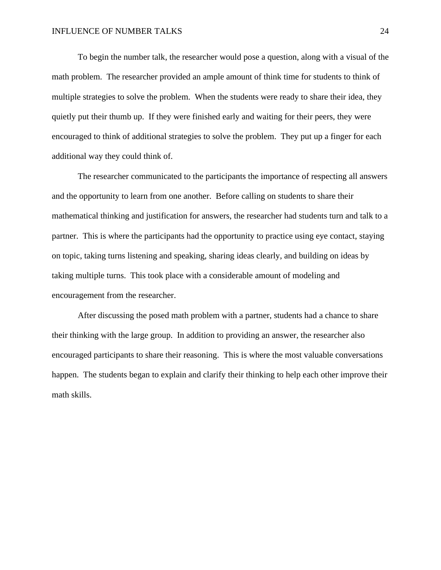To begin the number talk, the researcher would pose a question, along with a visual of the math problem. The researcher provided an ample amount of think time for students to think of multiple strategies to solve the problem. When the students were ready to share their idea, they quietly put their thumb up. If they were finished early and waiting for their peers, they were encouraged to think of additional strategies to solve the problem. They put up a finger for each additional way they could think of.

The researcher communicated to the participants the importance of respecting all answers and the opportunity to learn from one another. Before calling on students to share their mathematical thinking and justification for answers, the researcher had students turn and talk to a partner. This is where the participants had the opportunity to practice using eye contact, staying on topic, taking turns listening and speaking, sharing ideas clearly, and building on ideas by taking multiple turns. This took place with a considerable amount of modeling and encouragement from the researcher.

After discussing the posed math problem with a partner, students had a chance to share their thinking with the large group. In addition to providing an answer, the researcher also encouraged participants to share their reasoning. This is where the most valuable conversations happen. The students began to explain and clarify their thinking to help each other improve their math skills.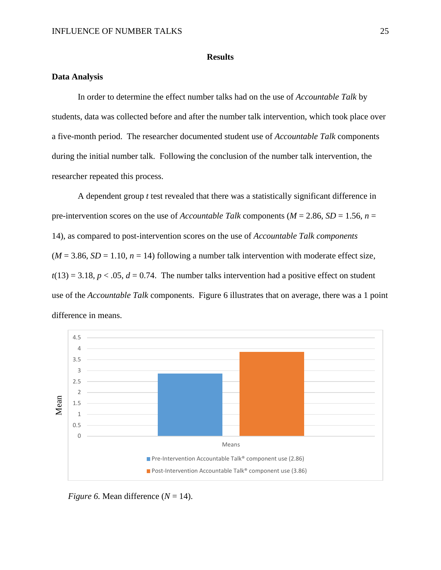# **Results**

# **Data Analysis**

In order to determine the effect number talks had on the use of *Accountable Talk* by students, data was collected before and after the number talk intervention, which took place over a five-month period. The researcher documented student use of *Accountable Talk* components during the initial number talk. Following the conclusion of the number talk intervention, the researcher repeated this process.

A dependent group *t* test revealed that there was a statistically significant difference in pre-intervention scores on the use of *Accountable Talk* components (*M* = 2.86, *SD* = 1.56, *n* = 14), as compared to post-intervention scores on the use of *Accountable Talk components*  $(M = 3.86, SD = 1.10, n = 14)$  following a number talk intervention with moderate effect size,  $t(13) = 3.18$ ,  $p < .05$ ,  $d = 0.74$ . The number talks intervention had a positive effect on student use of the *Accountable Talk* components. Figure 6 illustrates that on average, there was a 1 point difference in means.



*Figure 6.* Mean difference  $(N = 14)$ .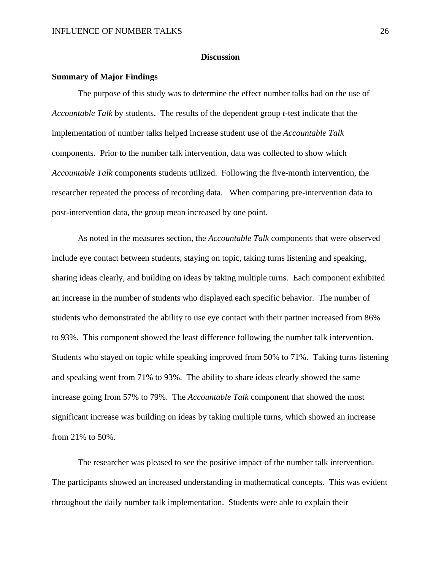## **Discussion**

#### **Summary of Major Findings**

The purpose of this study was to determine the effect number talks had on the use of *Accountable Talk* by students. The results of the dependent group *t-*test indicate that the implementation of number talks helped increase student use of the *Accountable Talk*  components. Prior to the number talk intervention, data was collected to show which *Accountable Talk* components students utilized. Following the five-month intervention, the researcher repeated the process of recording data. When comparing pre-intervention data to post-intervention data, the group mean increased by one point.

As noted in the measures section, the *Accountable Talk* components that were observed include eye contact between students, staying on topic, taking turns listening and speaking, sharing ideas clearly, and building on ideas by taking multiple turns. Each component exhibited an increase in the number of students who displayed each specific behavior. The number of students who demonstrated the ability to use eye contact with their partner increased from 86% to 93%. This component showed the least difference following the number talk intervention. Students who stayed on topic while speaking improved from 50% to 71%. Taking turns listening and speaking went from 71% to 93%. The ability to share ideas clearly showed the same increase going from 57% to 79%. The *Accountable Talk* component that showed the most significant increase was building on ideas by taking multiple turns, which showed an increase from 21% to 50%.

The researcher was pleased to see the positive impact of the number talk intervention. The participants showed an increased understanding in mathematical concepts. This was evident throughout the daily number talk implementation. Students were able to explain their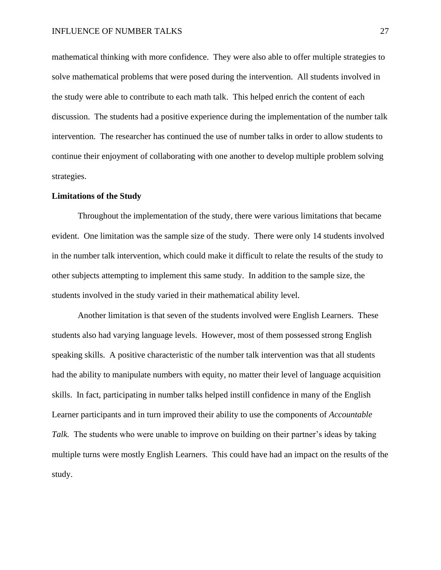mathematical thinking with more confidence. They were also able to offer multiple strategies to solve mathematical problems that were posed during the intervention. All students involved in the study were able to contribute to each math talk. This helped enrich the content of each discussion. The students had a positive experience during the implementation of the number talk intervention. The researcher has continued the use of number talks in order to allow students to continue their enjoyment of collaborating with one another to develop multiple problem solving strategies.

### **Limitations of the Study**

Throughout the implementation of the study, there were various limitations that became evident. One limitation was the sample size of the study. There were only 14 students involved in the number talk intervention, which could make it difficult to relate the results of the study to other subjects attempting to implement this same study. In addition to the sample size, the students involved in the study varied in their mathematical ability level.

Another limitation is that seven of the students involved were English Learners. These students also had varying language levels. However, most of them possessed strong English speaking skills. A positive characteristic of the number talk intervention was that all students had the ability to manipulate numbers with equity, no matter their level of language acquisition skills. In fact, participating in number talks helped instill confidence in many of the English Learner participants and in turn improved their ability to use the components of *Accountable Talk.* The students who were unable to improve on building on their partner's ideas by taking multiple turns were mostly English Learners. This could have had an impact on the results of the study.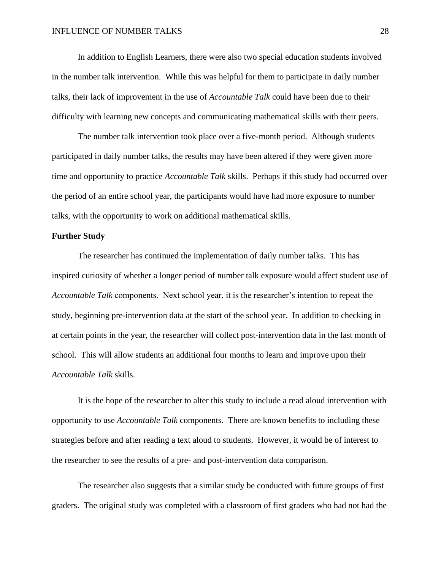In addition to English Learners, there were also two special education students involved in the number talk intervention. While this was helpful for them to participate in daily number talks, their lack of improvement in the use of *Accountable Talk* could have been due to their difficulty with learning new concepts and communicating mathematical skills with their peers.

The number talk intervention took place over a five-month period. Although students participated in daily number talks, the results may have been altered if they were given more time and opportunity to practice *Accountable Talk* skills. Perhaps if this study had occurred over the period of an entire school year, the participants would have had more exposure to number talks, with the opportunity to work on additional mathematical skills.

## **Further Study**

The researcher has continued the implementation of daily number talks. This has inspired curiosity of whether a longer period of number talk exposure would affect student use of *Accountable Talk* components. Next school year, it is the researcher's intention to repeat the study, beginning pre-intervention data at the start of the school year. In addition to checking in at certain points in the year, the researcher will collect post-intervention data in the last month of school. This will allow students an additional four months to learn and improve upon their *Accountable Talk* skills.

It is the hope of the researcher to alter this study to include a read aloud intervention with opportunity to use *Accountable Talk* components. There are known benefits to including these strategies before and after reading a text aloud to students. However, it would be of interest to the researcher to see the results of a pre- and post-intervention data comparison.

The researcher also suggests that a similar study be conducted with future groups of first graders. The original study was completed with a classroom of first graders who had not had the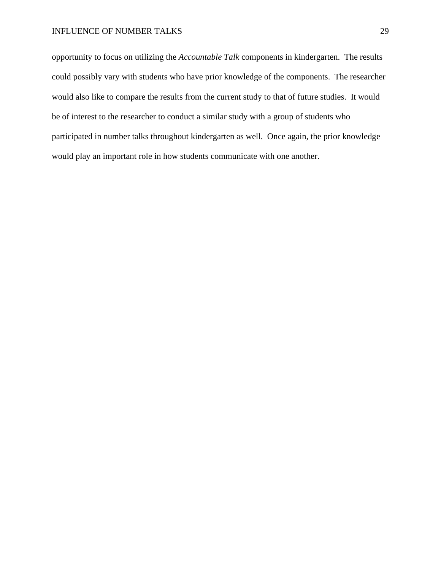opportunity to focus on utilizing the *Accountable Talk* components in kindergarten. The results could possibly vary with students who have prior knowledge of the components. The researcher would also like to compare the results from the current study to that of future studies. It would be of interest to the researcher to conduct a similar study with a group of students who participated in number talks throughout kindergarten as well. Once again, the prior knowledge would play an important role in how students communicate with one another.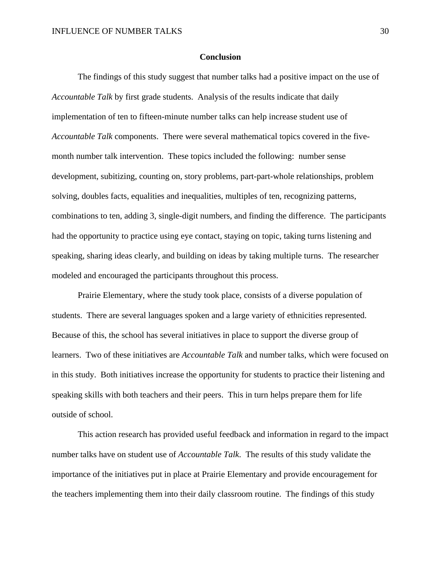### **Conclusion**

The findings of this study suggest that number talks had a positive impact on the use of *Accountable Talk* by first grade students. Analysis of the results indicate that daily implementation of ten to fifteen-minute number talks can help increase student use of *Accountable Talk* components. There were several mathematical topics covered in the fivemonth number talk intervention. These topics included the following: number sense development, subitizing, counting on, story problems, part-part-whole relationships, problem solving, doubles facts, equalities and inequalities, multiples of ten, recognizing patterns, combinations to ten, adding 3, single-digit numbers, and finding the difference. The participants had the opportunity to practice using eye contact, staying on topic, taking turns listening and speaking, sharing ideas clearly, and building on ideas by taking multiple turns. The researcher modeled and encouraged the participants throughout this process.

Prairie Elementary, where the study took place, consists of a diverse population of students. There are several languages spoken and a large variety of ethnicities represented. Because of this, the school has several initiatives in place to support the diverse group of learners. Two of these initiatives are *Accountable Talk* and number talks, which were focused on in this study. Both initiatives increase the opportunity for students to practice their listening and speaking skills with both teachers and their peers. This in turn helps prepare them for life outside of school.

This action research has provided useful feedback and information in regard to the impact number talks have on student use of *Accountable Talk*. The results of this study validate the importance of the initiatives put in place at Prairie Elementary and provide encouragement for the teachers implementing them into their daily classroom routine. The findings of this study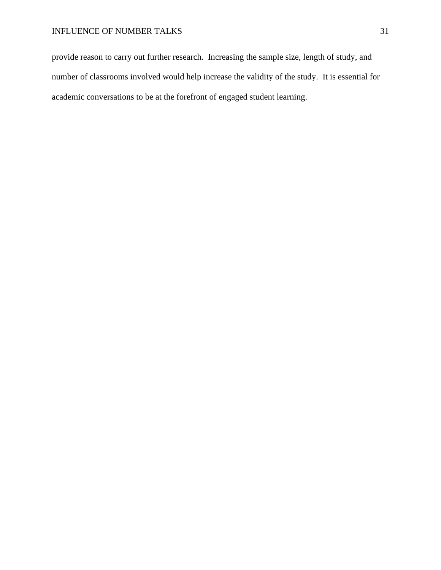provide reason to carry out further research. Increasing the sample size, length of study, and number of classrooms involved would help increase the validity of the study. It is essential for academic conversations to be at the forefront of engaged student learning.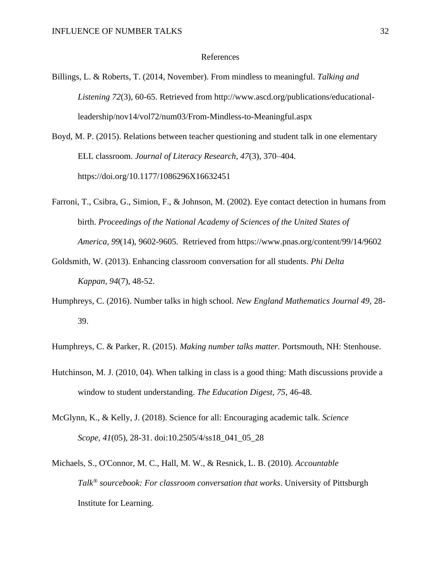#### References

- Billings, L. & Roberts, T. (2014, November). From mindless to meaningful. *Talking and Listening 72*(3), 60-65. Retrieved from http://www.ascd.org/publications/educationalleadership/nov14/vol72/num03/From-Mindless-to-Meaningful.aspx
- Boyd, M. P. (2015). Relations between teacher questioning and student talk in one elementary ELL classroom. *Journal of Literacy Research, 47*(3), 370–404. https://doi.org/10.1177/1086296X16632451
- Farroni, T., Csibra, G., Simion, F., & Johnson, M. (2002). Eye contact detection in humans from birth. *Proceedings of the National Academy of Sciences of the United States of America, 99*(14), 9602-9605. Retrieved from https://www.pnas.org/content/99/14/9602
- Goldsmith, W. (2013). Enhancing classroom conversation for all students. *Phi Delta Kappan, 94*(7), 48-52.
- Humphreys, C. (2016). Number talks in high school. *New England Mathematics Journal 49*, 28- 39.
- Humphreys, C. & Parker, R. (2015). *Making number talks matter.* Portsmouth, NH: Stenhouse.
- Hutchinson, M. J. (2010, 04). When talking in class is a good thing: Math discussions provide a window to student understanding. *The Education Digest, 75*, 46-48.
- McGlynn, K., & Kelly, J. (2018). Science for all: Encouraging academic talk. *Science Scope, 41*(05), 28-31. doi:10.2505/4/ss18\_041\_05\_28
- Michaels, S., O'Connor, M. C., Hall, M. W., & Resnick, L. B. (2010). *Accountable Talk® sourcebook: For classroom conversation that works*. University of Pittsburgh Institute for Learning.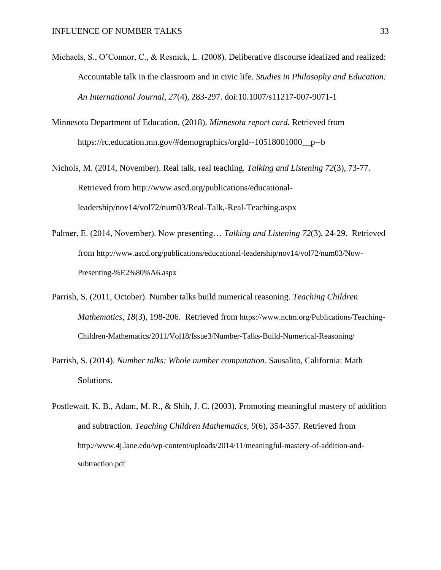- Michaels, S., O'Connor, C., & Resnick, L. (2008). Deliberative discourse idealized and realized: Accountable talk in the classroom and in civic life. *Studies in Philosophy and Education: An International Journal, 27*(4), 283-297. doi:10.1007/s11217-007-9071-1
- Minnesota Department of Education. (2018). *Minnesota report card.* Retrieved from https://rc.education.mn.gov/#demographics/orgId--10518001000\_\_p--b
- Nichols, M. (2014, November). Real talk, real teaching. *Talking and Listening 72*(3), 73-77. Retrieved from http://www.ascd.org/publications/educationalleadership/nov14/vol72/num03/Real-Talk,-Real-Teaching.aspx
- Palmer, E. (2014, November). Now presenting… *Talking and Listening 72*(3), 24-29. Retrieved from http://www.ascd.org/publications/educational-leadership/nov14/vol72/num03/Now-Presenting-%E2%80%A6.aspx
- Parrish, S. (2011, October). Number talks build numerical reasoning. *Teaching Children Mathematics, 18*(3), 198-206. Retrieved from https://www.nctm.org/Publications/Teaching-Children-Mathematics/2011/Vol18/Issue3/Number-Talks-Build-Numerical-Reasoning/
- Parrish, S. (2014). *Number talks: Whole number computation.* Sausalito, California: Math Solutions.
- Postlewait, K. B., Adam, M. R., & Shih, J. C. (2003). Promoting meaningful mastery of addition and subtraction. *Teaching Children Mathematics, 9*(6), 354-357. Retrieved from http://www.4j.lane.edu/wp-content/uploads/2014/11/meaningful-mastery-of-addition-andsubtraction.pdf